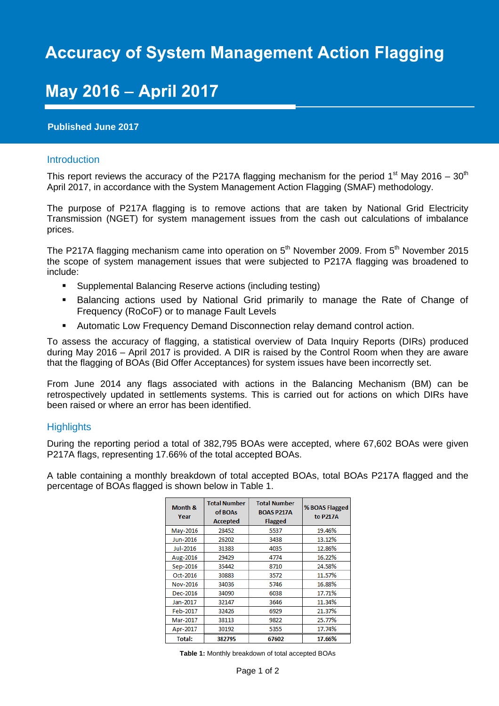# **Accuracy of System Management Action Flagging**

## **May 2016 - April 2017**

## **Published June 2017**

#### Introduction

This report reviews the accuracy of the P217A flagging mechanism for the period 1<sup>st</sup> May 2016 – 30<sup>th</sup> April 2017, in accordance with the System Management Action Flagging (SMAF) methodology.

The purpose of P217A flagging is to remove actions that are taken by National Grid Electricity Transmission (NGET) for system management issues from the cash out calculations of imbalance prices.

The P217A flagging mechanism came into operation on  $5<sup>th</sup>$  November 2009. From  $5<sup>th</sup>$  November 2015 the scope of system management issues that were subjected to P217A flagging was broadened to include:

- Supplemental Balancing Reserve actions (including testing)
- **Balancing actions used by National Grid primarily to manage the Rate of Change of** Frequency (RoCoF) or to manage Fault Levels
- Automatic Low Frequency Demand Disconnection relay demand control action.

To assess the accuracy of flagging, a statistical overview of Data Inquiry Reports (DIRs) produced during May 2016 – April 2017 is provided. A DIR is raised by the Control Room when they are aware that the flagging of BOAs (Bid Offer Acceptances) for system issues have been incorrectly set.

From June 2014 any flags associated with actions in the Balancing Mechanism (BM) can be retrospectively updated in settlements systems. This is carried out for actions on which DIRs have been raised or where an error has been identified.

### **Highlights**

During the reporting period a total of 382,795 BOAs were accepted, where 67,602 BOAs were given P217A flags, representing 17.66% of the total accepted BOAs.

A table containing a monthly breakdown of total accepted BOAs, total BOAs P217A flagged and the percentage of BOAs flagged is shown below in Table 1.

| Month &<br>Year | <b>Total Number</b><br>of BOAs<br><b>Accepted</b> | <b>Total Number</b><br><b>BOAS P217A</b><br><b>Flagged</b> | % BOAS Flagged<br>to P217A |
|-----------------|---------------------------------------------------|------------------------------------------------------------|----------------------------|
| May-2016        | 28452                                             | 5537                                                       | 19.46%                     |
| Jun-2016        | 26202                                             | 3438                                                       | 13.12%                     |
| Jul-2016        | 31383                                             | 4035                                                       | 12.86%                     |
| Aug-2016        | 29429                                             | 4774                                                       | 16.22%                     |
| Sep-2016        | 35442                                             | 8710                                                       | 24.58%                     |
| Oct-2016        | 30883                                             | 3572                                                       | 11.57%                     |
| Nov-2016        | 34036                                             | 5746                                                       | 16.88%                     |
| Dec-2016        | 34090                                             | 6038                                                       | 17.71%                     |
| Jan-2017        | 32147                                             | 3646                                                       | 11.34%                     |
| Feb-2017        | 32426                                             | 6929                                                       | 21.37%                     |
| Mar-2017        | 38113                                             | 9822                                                       | 25.77%                     |
| Apr-2017        | 30192                                             | 5355                                                       | 17.74%                     |
| Total:          | 382795                                            | 67602                                                      | 17.66%                     |

**Table 1:** Monthly breakdown of total accepted BOAs